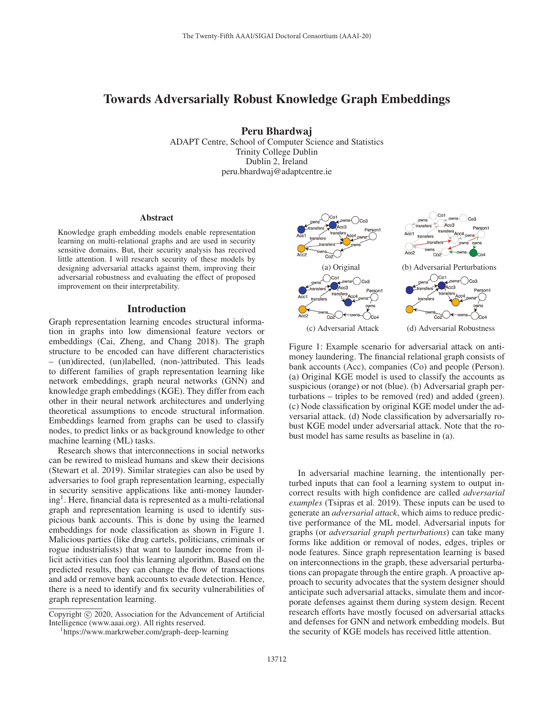# Towards Adversarially Robust Knowledge Graph Embeddings

Peru Bhardwaj

ADAPT Centre, School of Computer Science and Statistics Trinity College Dublin Dublin 2, Ireland peru.bhardwaj@adaptcentre.ie

### Abstract

Knowledge graph embedding models enable representation learning on multi-relational graphs and are used in security sensitive domains. But, their security analysis has received little attention. I will research security of these models by designing adversarial attacks against them, improving their adversarial robustness and evaluating the effect of proposed improvement on their interpretability.

#### Introduction

Graph representation learning encodes structural information in graphs into low dimensional feature vectors or embeddings (Cai, Zheng, and Chang 2018). The graph structure to be encoded can have different characteristics – (un)directed, (un)labelled, (non-)attributed. This leads to different families of graph representation learning like network embeddings, graph neural networks (GNN) and knowledge graph embeddings (KGE). They differ from each other in their neural network architectures and underlying theoretical assumptions to encode structural information. Embeddings learned from graphs can be used to classify nodes, to predict links or as background knowledge to other machine learning (ML) tasks.

Research shows that interconnections in social networks can be rewired to mislead humans and skew their decisions (Stewart et al. 2019). Similar strategies can also be used by adversaries to fool graph representation learning, especially in security sensitive applications like anti-money launder $ing<sup>1</sup>$ . Here, financial data is represented as a multi-relational graph and representation learning is used to identify suspicious bank accounts. This is done by using the learned embeddings for node classification as shown in Figure 1. Malicious parties (like drug cartels, politicians, criminals or rogue industrialists) that want to launder income from illicit activities can fool this learning algorithm. Based on the predicted results, they can change the flow of transactions and add or remove bank accounts to evade detection. Hence, there is a need to identify and fix security vulnerabilities of graph representation learning.



Figure 1: Example scenario for adversarial attack on antimoney laundering. The financial relational graph consists of bank accounts (Acc), companies (Co) and people (Person). (a) Original KGE model is used to classify the accounts as suspicious (orange) or not (blue). (b) Adversarial graph perturbations – triples to be removed (red) and added (green). (c) Node classification by original KGE model under the adversarial attack. (d) Node classification by adversarially robust KGE model under adversarial attack. Note that the robust model has same results as baseline in (a).

In adversarial machine learning, the intentionally perturbed inputs that can fool a learning system to output incorrect results with high confidence are called *adversarial examples* (Tsipras et al. 2019). These inputs can be used to generate an *adversarial attack*, which aims to reduce predictive performance of the ML model. Adversarial inputs for graphs (or *adversarial graph perturbations*) can take many forms like addition or removal of nodes, edges, triples or node features. Since graph representation learning is based on interconnections in the graph, these adversarial perturbations can propagate through the entire graph. A proactive approach to security advocates that the system designer should anticipate such adversarial attacks, simulate them and incorporate defenses against them during system design. Recent research efforts have mostly focused on adversarial attacks and defenses for GNN and network embedding models. But the security of KGE models has received little attention.

Copyright  $\odot$  2020, Association for the Advancement of Artificial Intelligence (www.aaai.org). All rights reserved.

https://www.markrweber.com/graph-deep-learning